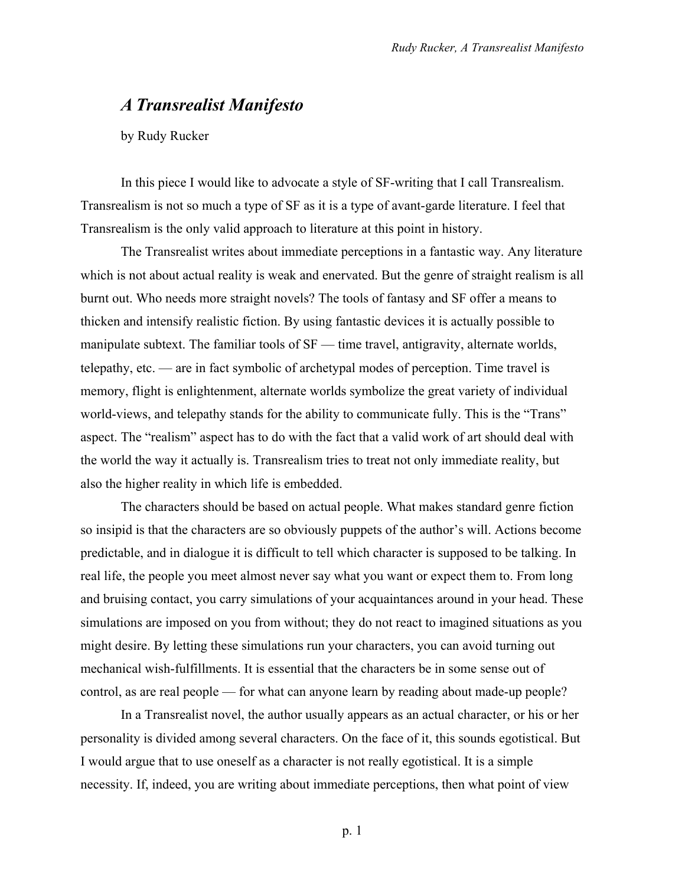## *A Transrealist Manifesto*

by Rudy Rucker

In this piece I would like to advocate a style of SF-writing that I call Transrealism. Transrealism is not so much a type of SF as it is a type of avant-garde literature. I feel that Transrealism is the only valid approach to literature at this point in history.

The Transrealist writes about immediate perceptions in a fantastic way. Any literature which is not about actual reality is weak and enervated. But the genre of straight realism is all burnt out. Who needs more straight novels? The tools of fantasy and SF offer a means to thicken and intensify realistic fiction. By using fantastic devices it is actually possible to manipulate subtext. The familiar tools of SF — time travel, antigravity, alternate worlds, telepathy, etc. — are in fact symbolic of archetypal modes of perception. Time travel is memory, flight is enlightenment, alternate worlds symbolize the great variety of individual world-views, and telepathy stands for the ability to communicate fully. This is the "Trans" aspect. The "realism" aspect has to do with the fact that a valid work of art should deal with the world the way it actually is. Transrealism tries to treat not only immediate reality, but also the higher reality in which life is embedded.

The characters should be based on actual people. What makes standard genre fiction so insipid is that the characters are so obviously puppets of the author's will. Actions become predictable, and in dialogue it is difficult to tell which character is supposed to be talking. In real life, the people you meet almost never say what you want or expect them to. From long and bruising contact, you carry simulations of your acquaintances around in your head. These simulations are imposed on you from without; they do not react to imagined situations as you might desire. By letting these simulations run your characters, you can avoid turning out mechanical wish-fulfillments. It is essential that the characters be in some sense out of control, as are real people — for what can anyone learn by reading about made-up people?

In a Transrealist novel, the author usually appears as an actual character, or his or her personality is divided among several characters. On the face of it, this sounds egotistical. But I would argue that to use oneself as a character is not really egotistical. It is a simple necessity. If, indeed, you are writing about immediate perceptions, then what point of view

p. 1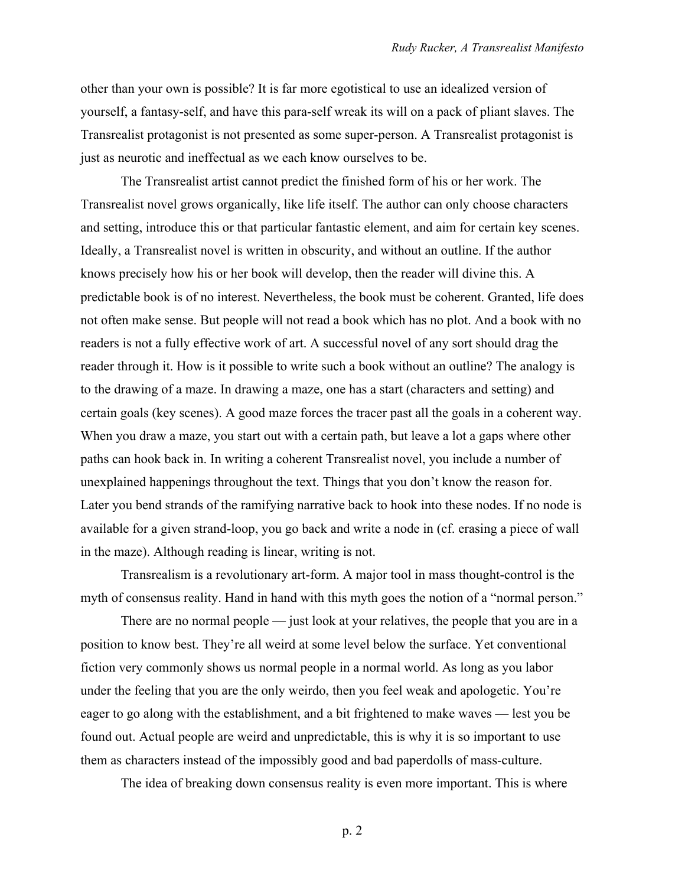other than your own is possible? It is far more egotistical to use an idealized version of yourself, a fantasy-self, and have this para-self wreak its will on a pack of pliant slaves. The Transrealist protagonist is not presented as some super-person. A Transrealist protagonist is just as neurotic and ineffectual as we each know ourselves to be.

The Transrealist artist cannot predict the finished form of his or her work. The Transrealist novel grows organically, like life itself. The author can only choose characters and setting, introduce this or that particular fantastic element, and aim for certain key scenes. Ideally, a Transrealist novel is written in obscurity, and without an outline. If the author knows precisely how his or her book will develop, then the reader will divine this. A predictable book is of no interest. Nevertheless, the book must be coherent. Granted, life does not often make sense. But people will not read a book which has no plot. And a book with no readers is not a fully effective work of art. A successful novel of any sort should drag the reader through it. How is it possible to write such a book without an outline? The analogy is to the drawing of a maze. In drawing a maze, one has a start (characters and setting) and certain goals (key scenes). A good maze forces the tracer past all the goals in a coherent way. When you draw a maze, you start out with a certain path, but leave a lot a gaps where other paths can hook back in. In writing a coherent Transrealist novel, you include a number of unexplained happenings throughout the text. Things that you don't know the reason for. Later you bend strands of the ramifying narrative back to hook into these nodes. If no node is available for a given strand-loop, you go back and write a node in (cf. erasing a piece of wall in the maze). Although reading is linear, writing is not.

Transrealism is a revolutionary art-form. A major tool in mass thought-control is the myth of consensus reality. Hand in hand with this myth goes the notion of a "normal person."

There are no normal people — just look at your relatives, the people that you are in a position to know best. They're all weird at some level below the surface. Yet conventional fiction very commonly shows us normal people in a normal world. As long as you labor under the feeling that you are the only weirdo, then you feel weak and apologetic. You're eager to go along with the establishment, and a bit frightened to make waves — lest you be found out. Actual people are weird and unpredictable, this is why it is so important to use them as characters instead of the impossibly good and bad paperdolls of mass-culture.

The idea of breaking down consensus reality is even more important. This is where

p. 2